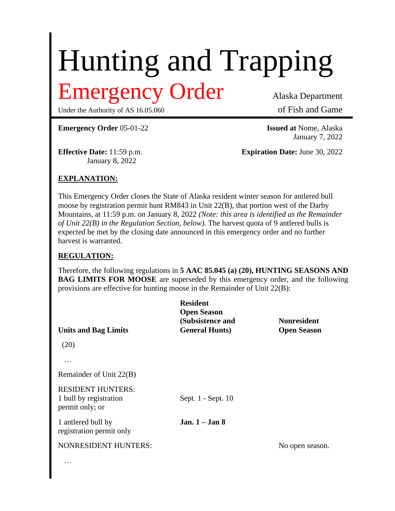# Hunting and Trapping

## Emergency Order Alaska Department

Under the Authority of AS 16.05.060 of Fish and Game

**Emergency Order** 05-01-22 **Issued at** Nome, Alaska

January 8, 2022

January 7, 2022

**Effective Date:** 11:59 p.m. **Expiration Date:** June 30, 2022

### **EXPLANATION:**

This Emergency Order closes the State of Alaska resident winter season for antlered bull moose by registration permit hunt RM843 in Unit 22(B), that portion west of the Darby Mountains, at 11:59 p.m. on January 8, 2022 *(Note: this area is identified as the Remainder of Unit 22(B) in the Regulation Section, below).* The harvest quota of 9 antlered bulls is expected be met by the closing date announced in this emergency order and no further harvest is warranted.

#### **REGULATION:**

Therefore, the following regulations in **5 AAC 85.045 (a) (20), HUNTING SEASONS AND BAG LIMITS FOR MOOSE** are superseded by this emergency order, and the following provisions are effective for hunting moose in the Remainder of Unit 22(B):

| <b>Units and Bag Limits</b>                                           | <b>Resident</b><br><b>Open Season</b><br>(Subsistence and<br><b>General Hunts)</b> | <b>Nonresident</b><br><b>Open Season</b> |
|-----------------------------------------------------------------------|------------------------------------------------------------------------------------|------------------------------------------|
| (20)                                                                  |                                                                                    |                                          |
| .                                                                     |                                                                                    |                                          |
| Remainder of Unit 22(B)                                               |                                                                                    |                                          |
| <b>RESIDENT HUNTERS:</b><br>1 bull by registration<br>permit only; or | Sept. 1 - Sept. 10                                                                 |                                          |
| 1 antlered bull by<br>registration permit only                        | Jan. $1 -$ Jan 8                                                                   |                                          |
| <b>NONRESIDENT HUNTERS:</b>                                           |                                                                                    | No open season.                          |
| $\cdots$                                                              |                                                                                    |                                          |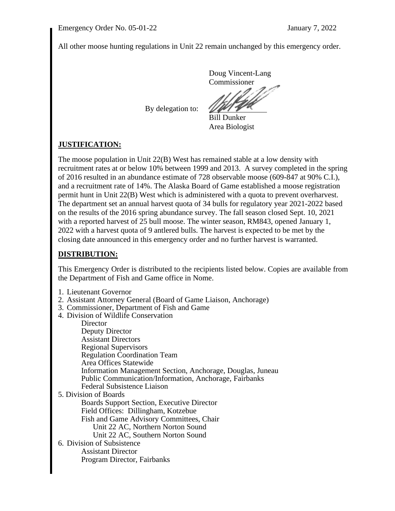All other moose hunting regulations in Unit 22 remain unchanged by this emergency order.

Doug Vincent-Lang Commissioner

By delegation to:

Bill Dunker Area Biologist

### **JUSTIFICATION:**

The moose population in Unit 22(B) West has remained stable at a low density with recruitment rates at or below 10% between 1999 and 2013. A survey completed in the spring of 2016 resulted in an abundance estimate of 728 observable moose (609-847 at 90% C.I.), and a recruitment rate of 14%. The Alaska Board of Game established a moose registration permit hunt in Unit 22(B) West which is administered with a quota to prevent overharvest. The department set an annual harvest quota of 34 bulls for regulatory year 2021-2022 based on the results of the 2016 spring abundance survey. The fall season closed Sept. 10, 2021 with a reported harvest of 25 bull moose. The winter season, RM843, opened January 1, 2022 with a harvest quota of 9 antlered bulls. The harvest is expected to be met by the closing date announced in this emergency order and no further harvest is warranted.

#### **DISTRIBUTION:**

This Emergency Order is distributed to the recipients listed below. Copies are available from the Department of Fish and Game office in Nome.

- 1. Lieutenant Governor
- 2. Assistant Attorney General (Board of Game Liaison, Anchorage)
- 3. Commissioner, Department of Fish and Game
- 4. Division of Wildlife Conservation

**Director** Deputy Director Assistant Directors Regional Supervisors Regulation Coordination Team Area Offices Statewide Information Management Section, Anchorage, Douglas, Juneau Public Communication/Information, Anchorage, Fairbanks Federal Subsistence Liaison 5. Division of Boards

Boards Support Section, Executive Director Field Offices: Dillingham, Kotzebue Fish and Game Advisory Committees, Chair Unit 22 AC, Northern Norton Sound Unit 22 AC, Southern Norton Sound

6. Division of Subsistence Assistant Director Program Director, Fairbanks